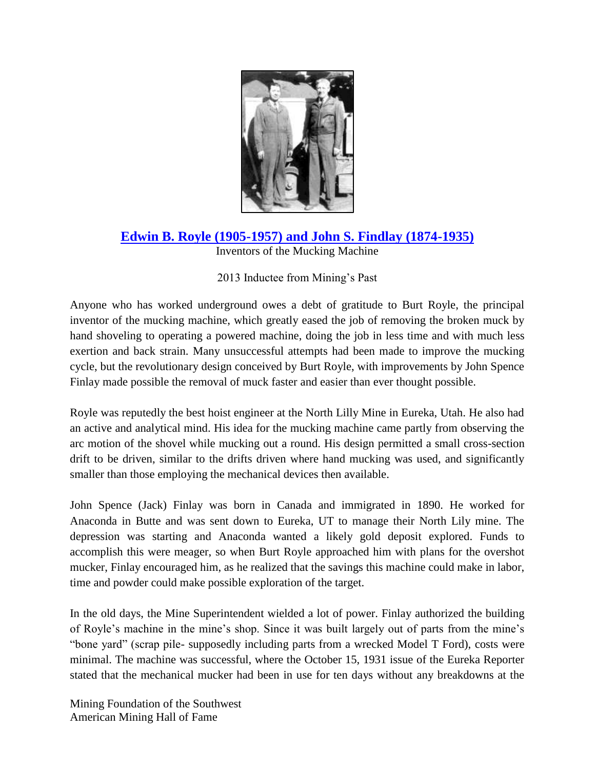

## **[Edwin B. Royle \(1905-1957\) and John S. Findlay \(1874-1935\)](http://www.youtube.com/watch?feature=player_embedded&v=6OCUF8kadDg)**

Inventors of the Mucking Machine

## 2013 Inductee from Mining's Past

Anyone who has worked underground owes a debt of gratitude to Burt Royle, the principal inventor of the mucking machine, which greatly eased the job of removing the broken muck by hand shoveling to operating a powered machine, doing the job in less time and with much less exertion and back strain. Many unsuccessful attempts had been made to improve the mucking cycle, but the revolutionary design conceived by Burt Royle, with improvements by John Spence Finlay made possible the removal of muck faster and easier than ever thought possible.

Royle was reputedly the best hoist engineer at the North Lilly Mine in Eureka, Utah. He also had an active and analytical mind. His idea for the mucking machine came partly from observing the arc motion of the shovel while mucking out a round. His design permitted a small cross-section drift to be driven, similar to the drifts driven where hand mucking was used, and significantly smaller than those employing the mechanical devices then available.

John Spence (Jack) Finlay was born in Canada and immigrated in 1890. He worked for Anaconda in Butte and was sent down to Eureka, UT to manage their North Lily mine. The depression was starting and Anaconda wanted a likely gold deposit explored. Funds to accomplish this were meager, so when Burt Royle approached him with plans for the overshot mucker, Finlay encouraged him, as he realized that the savings this machine could make in labor, time and powder could make possible exploration of the target.

In the old days, the Mine Superintendent wielded a lot of power. Finlay authorized the building of Royle's machine in the mine's shop. Since it was built largely out of parts from the mine's "bone yard" (scrap pile- supposedly including parts from a wrecked Model T Ford), costs were minimal. The machine was successful, where the October 15, 1931 issue of the Eureka Reporter stated that the mechanical mucker had been in use for ten days without any breakdowns at the

Mining Foundation of the Southwest American Mining Hall of Fame